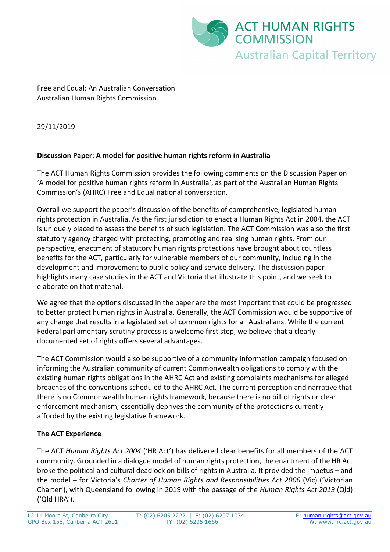

Free and Equal: An Australian Conversation Australian Human Rights Commission

29/11/2019

### **Discussion Paper: A model for positive human rights reform in Australia**

The ACT Human Rights Commission provides the following comments on the Discussion Paper on 'A model for positive human rights reform in Australia', as part of the Australian Human Rights Commission's (AHRC) Free and Equal national conversation.

Overall we support the paper's discussion of the benefits of comprehensive, legislated human rights protection in Australia. As the first jurisdiction to enact a Human Rights Act in 2004, the ACT is uniquely placed to assess the benefits of such legislation. The ACT Commission was also the first statutory agency charged with protecting, promoting and realising human rights. From our perspective, enactment of statutory human rights protections have brought about countless benefits for the ACT, particularly for vulnerable members of our community, including in the development and improvement to public policy and service delivery. The discussion paper highlights many case studies in the ACT and Victoria that illustrate this point, and we seek to elaborate on that material.

We agree that the options discussed in the paper are the most important that could be progressed to better protect human rights in Australia. Generally, the ACT Commission would be supportive of any change that results in a legislated set of common rights for all Australians. While the current Federal parliamentary scrutiny process is a welcome first step, we believe that a clearly documented set of rights offers several advantages.

The ACT Commission would also be supportive of a community information campaign focused on informing the Australian community of current Commonwealth obligations to comply with the existing human rights obligations in the AHRC Act and existing complaints mechanisms for alleged breaches of the conventions scheduled to the AHRC Act. The current perception and narrative that there is no Commonwealth human rights framework, because there is no bill of rights or clear enforcement mechanism, essentially deprives the community of the protections currently afforded by the existing legislative framework.

# **The ACT Experience**

The ACT *Human Rights Act 2004* ('HR Act') has delivered clear benefits for all members of the ACT community. Grounded in a dialogue model of human rights protection, the enactment of the HR Act broke the political and cultural deadlock on bills of rights in Australia. It provided the impetus – and the model – for Victoria's *Charter of Human Rights and Responsibilities Act 2006* (Vic) ('Victorian Charter'), with Queensland following in 2019 with the passage of the *Human Rights Act 2019* (Qld) ('Qld HRA').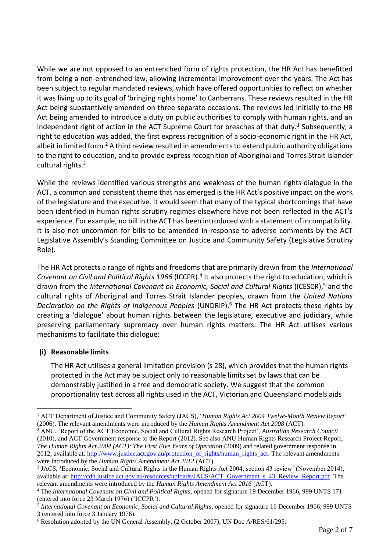While we are not opposed to an entrenched form of rights protection, the HR Act has benefitted from being a non-entrenched law, allowing incremental improvement over the years. The Act has been subject to regular mandated reviews, which have offered opportunities to reflect on whether it was living up to its goal of 'bringing rights home' to Canberrans. These reviews resulted in the HR Act being substantively amended on three separate occasions. The reviews led initially to the HR Act being amended to introduce a duty on public authorities to comply with human rights, and an independent right of action in the ACT Supreme Court for breaches of that duty.<sup>1</sup> Subsequently, a right to education was added, the first express recognition of a socio-economic right in the HR Act, albeit in limited form.<sup>2</sup> A third review resulted in amendments to extend public authority obligations to the right to education, and to provide express recognition of Aboriginal and Torres Strait Islander cultural rights.<sup>3</sup>

While the reviews identified various strengths and weakness of the human rights dialogue in the ACT, a common and consistent theme that has emerged is the HR Act's positive impact on the work of the legislature and the executive. It would seem that many of the typical shortcomings that have been identified in human rights scrutiny regimes elsewhere have not been reflected in the ACT's experience. For example, no bill in the ACT has been introduced with a statement of incompatibility. It is also not uncommon for bills to be amended in response to adverse comments by the ACT Legislative Assembly's Standing Committee on Justice and Community Safety (Legislative Scrutiny Role).

The HR Act protects a range of rights and freedoms that are primarily drawn from the *International*  Covenant on Civil and Political Rights 1966 (ICCPR).<sup>4</sup> It also protects the right to education, which is drawn from the *International Covenant on Economic, Social and Cultural Rights* (ICESCR),<sup>5</sup> and the cultural rights of Aboriginal and Torres Strait Islander peoples, drawn from the *United Nations Declaration on the Rights of Indigenous Peoples* (UNDRIP).<sup>6</sup> The HR Act protects these rights by creating a 'dialogue' about human rights between the legislature, executive and judiciary, while preserving parliamentary supremacy over human rights matters. The HR Act utilises various mechanisms to facilitate this dialogue:

### **(i) Reasonable limits**

<u>.</u>

The HR Act utilises a general limitation provision (s 28), which provides that the human rights protected in the Act may be subject only to reasonable limits set by laws that can be demonstrably justified in a free and democratic society. We suggest that the common proportionality test across all rights used in the ACT, Victorian and Queensland models aids

<sup>1</sup> ACT Department of Justice and Community Safety (JACS), '*Human Rights Act 2004 Twelve-Month Review Report*' (2006). The relevant amendments were introduced by the *Human Rights Amendment Act 2008* (ACT).

<sup>2</sup> ANU, 'Report of the ACT Economic, Social and Cultural Rights Research Project', *Australian Research Council* (2010), and ACT Government response to the Report (2012). See also ANU Human Rights Research Project Report, *The Human Rights Act 2004 (ACT): The First Five Years of Operation* (2009) and related government response in 2012; available at: [http://www.justice.act.gov.au/protection\\_of\\_rights/human\\_rights\\_act.](http://www.justice.act.gov.au/protection_of_rights/human_rights_act) The relevant amendments were introduced by the *Human Rights Amendment Act 2012* (ACT).

<sup>&</sup>lt;sup>3</sup> JACS, 'Economic, Social and Cultural Rights in the Human Rights Act 2004: section 43 review' (November 2014), available at: [http://cdn.justice.act.gov.au/resources/uploads/JACS/ACT\\_Government\\_s\\_43\\_Review\\_Report.pdf.](http://cdn.justice.act.gov.au/resources/uploads/JACS/ACT_Government_s_43_Review_Report.pdf) The relevant amendments were introduced by the *Human Rights Amendment Act 2016* (ACT).

<sup>4</sup> The *International Covenant on Civil and Political Rights*, opened for signature 19 December 1966, 999 UNTS 171 (entered into force 23 March 1976) ('ICCPR').

<sup>5</sup> *International Covenant on Economic, Social and Cultural Rights*, opened for signature 16 December 1966, 999 UNTS 3 (entered into force 3 January 1976).

<sup>6</sup> Resolution adopted by the UN General Assembly, (2 October 2007), UN Doc A/RES/61/295.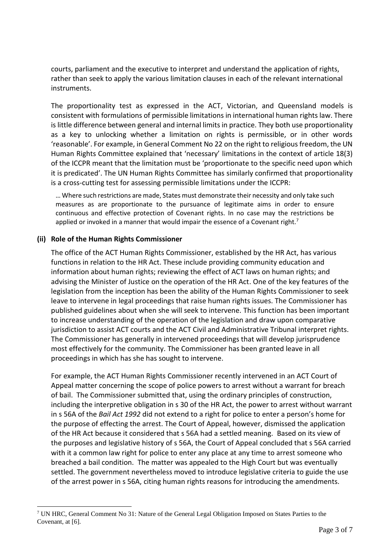courts, parliament and the executive to interpret and understand the application of rights, rather than seek to apply the various limitation clauses in each of the relevant international instruments.

The proportionality test as expressed in the ACT, Victorian, and Queensland models is consistent with formulations of permissible limitations in international human rights law. There is little difference between general and internal limits in practice. They both use proportionality as a key to unlocking whether a limitation on rights is permissible, or in other words 'reasonable'. For example, in General Comment No 22 on the right to religious freedom, the UN Human Rights Committee explained that 'necessary' limitations in the context of article 18(3) of the ICCPR meant that the limitation must be 'proportionate to the specific need upon which it is predicated'. The UN Human Rights Committee has similarly confirmed that proportionality is a cross-cutting test for assessing permissible limitations under the ICCPR:

… Where such restrictions are made, States must demonstrate their necessity and only take such measures as are proportionate to the pursuance of legitimate aims in order to ensure continuous and effective protection of Covenant rights. In no case may the restrictions be applied or invoked in a manner that would impair the essence of a Covenant right.<sup>7</sup>

### **(ii) Role of the Human Rights Commissioner**

1

The office of the ACT Human Rights Commissioner, established by the HR Act, has various functions in relation to the HR Act. These include providing community education and information about human rights; reviewing the effect of ACT laws on human rights; and advising the Minister of Justice on the operation of the HR Act. One of the key features of the legislation from the inception has been the ability of the Human Rights Commissioner to seek leave to intervene in legal proceedings that raise human rights issues. The Commissioner has published guidelines about when she will seek to intervene. This function has been important to increase understanding of the operation of the legislation and draw upon comparative jurisdiction to assist ACT courts and the ACT Civil and Administrative Tribunal interpret rights. The Commissioner has generally in intervened proceedings that will develop jurisprudence most effectively for the community. The Commissioner has been granted leave in all proceedings in which has she has sought to intervene.

For example, the ACT Human Rights Commissioner recently intervened in an ACT Court of Appeal matter concerning the scope of police powers to arrest without a warrant for breach of bail. The Commissioner submitted that, using the ordinary principles of construction, including the interpretive obligation in s 30 of the HR Act, the power to arrest without warrant in s 56A of the *Bail Act 1992* did not extend to a right for police to enter a person's home for the purpose of effecting the arrest. The Court of Appeal, however, dismissed the application of the HR Act because it considered that s 56A had a settled meaning. Based on its view of the purposes and legislative history of s 56A, the Court of Appeal concluded that s 56A carried with it a common law right for police to enter any place at any time to arrest someone who breached a bail condition. The matter was appealed to the High Court but was eventually settled. The government nevertheless moved to introduce legislative criteria to guide the use of the arrest power in s 56A, citing human rights reasons for introducing the amendments.

<sup>7</sup> UN HRC, General Comment No 31: Nature of the General Legal Obligation Imposed on States Parties to the Covenant, at [6].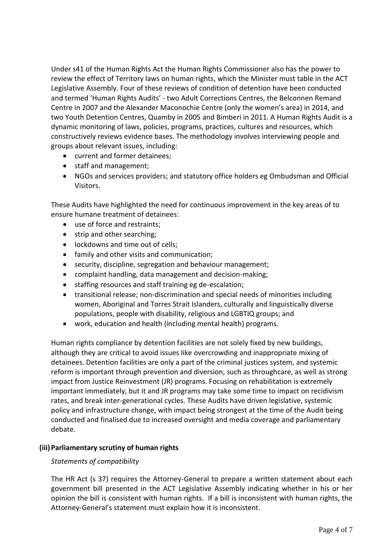Under s41 of the Human Rights Act the Human Rights Commissioner also has the power to review the effect of Territory laws on human rights, which the Minister must table in the ACT Legislative Assembly. Four of these reviews of condition of detention have been conducted and termed 'Human Rights Audits' - two Adult Corrections Centres, the Belconnen Remand Centre in 2007 and the Alexander Maconochie Centre (only the women's area) in 2014, and two Youth Detention Centres, Quamby in 2005 and Bimberi in 2011. A Human Rights Audit is a dynamic monitoring of laws, policies, programs, practices, cultures and resources, which constructively reviews evidence bases. The methodology involves interviewing people and groups about relevant issues, including:

- current and former detainees;
- staff and management;
- NGOs and services providers; and statutory office holders eg Ombudsman and Official Visitors.

These Audits have highlighted the need for continuous improvement in the key areas of to ensure humane treatment of detainees:

- use of force and restraints;
- strip and other searching;
- lockdowns and time out of cells;
- family and other visits and communication;
- security, discipline, segregation and behaviour management;
- complaint handling, data management and decision-making;
- staffing resources and staff training eg de-escalation;
- transitional release; non-discrimination and special needs of minorities including women, Aboriginal and Torres Strait Islanders, culturally and linguistically diverse populations, people with disability, religious and LGBTIQ groups; and
- work, education and health (including mental health) programs.

Human rights compliance by detention facilities are not solely fixed by new buildings, although they are critical to avoid issues like overcrowding and inappropriate mixing of detainees. Detention facilities are only a part of the criminal justices system, and systemic reform is important through prevention and diversion, such as throughcare, as well as strong impact from Justice Reinvestment (JR) programs. Focusing on rehabilitation is extremely important immediately, but it and JR programs may take some time to impact on recidivism rates, and break inter-generational cycles. These Audits have driven legislative, systemic policy and infrastructure change, with impact being strongest at the time of the Audit being conducted and finalised due to increased oversight and media coverage and parliamentary debate.

### **(iii)Parliamentary scrutiny of human rights**

### *Statements of compatibility*

The HR Act (s 37) requires the Attorney-General to prepare a written statement about each government bill presented in the ACT Legislative Assembly indicating whether in his or her opinion the bill is consistent with human rights. If a bill is inconsistent with human rights, the Attorney-General's statement must explain how it is inconsistent.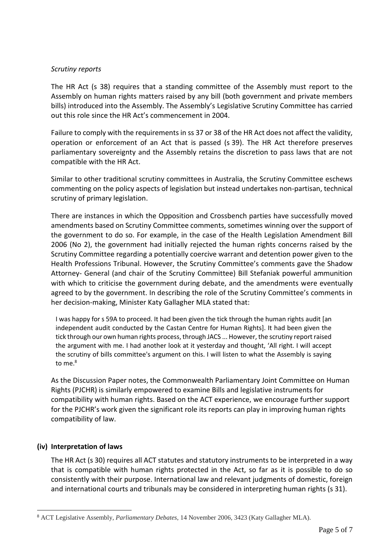#### *Scrutiny reports*

The HR Act (s 38) requires that a standing committee of the Assembly must report to the Assembly on human rights matters raised by any bill (both government and private members bills) introduced into the Assembly. The Assembly's Legislative Scrutiny Committee has carried out this role since the HR Act's commencement in 2004.

Failure to comply with the requirements in ss 37 or 38 of the HR Act does not affect the validity, operation or enforcement of an Act that is passed (s 39). The HR Act therefore preserves parliamentary sovereignty and the Assembly retains the discretion to pass laws that are not compatible with the HR Act.

Similar to other traditional scrutiny committees in Australia, the Scrutiny Committee eschews commenting on the policy aspects of legislation but instead undertakes non-partisan, technical scrutiny of primary legislation.

There are instances in which the Opposition and Crossbench parties have successfully moved amendments based on Scrutiny Committee comments, sometimes winning over the support of the government to do so. For example, in the case of the Health Legislation Amendment Bill 2006 (No 2), the government had initially rejected the human rights concerns raised by the Scrutiny Committee regarding a potentially coercive warrant and detention power given to the Health Professions Tribunal. However, the Scrutiny Committee's comments gave the Shadow Attorney- General (and chair of the Scrutiny Committee) Bill Stefaniak powerful ammunition with which to criticise the government during debate, and the amendments were eventually agreed to by the government. In describing the role of the Scrutiny Committee's comments in her decision-making, Minister Katy Gallagher MLA stated that:

I was happy for s 59A to proceed. It had been given the tick through the human rights audit [an independent audit conducted by the Castan Centre for Human Rights]. It had been given the tick through our own human rights process, through JACS ... However, the scrutiny report raised the argument with me. I had another look at it yesterday and thought, 'All right. I will accept the scrutiny of bills committee's argument on this. I will listen to what the Assembly is saying to me.<sup>8</sup>

As the Discussion Paper notes, the Commonwealth Parliamentary Joint Committee on Human Rights (PJCHR) is similarly empowered to examine Bills and legislative instruments for compatibility with human rights. Based on the ACT experience, we encourage further support for the PJCHR's work given the significant role its reports can play in improving human rights compatibility of law.

### **(iv) Interpretation of laws**

<u>.</u>

The HR Act (s 30) requires all ACT statutes and statutory instruments to be interpreted in a way that is compatible with human rights protected in the Act, so far as it is possible to do so consistently with their purpose. International law and relevant judgments of domestic, foreign and international courts and tribunals may be considered in interpreting human rights (s 31).

<sup>8</sup> ACT Legislative Assembly, *Parliamentary Debates*, 14 November 2006, 3423 (Katy Gallagher MLA).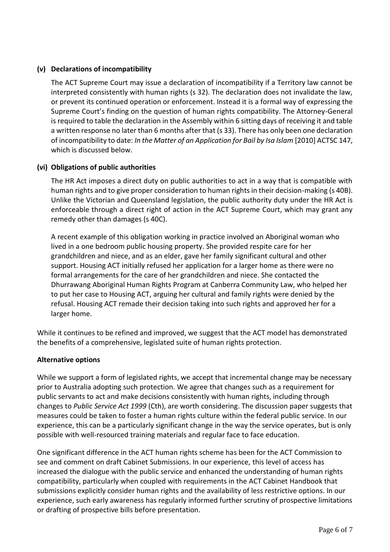# **(v) Declarations of incompatibility**

The ACT Supreme Court may issue a declaration of incompatibility if a Territory law cannot be interpreted consistently with human rights (s 32). The declaration does not invalidate the law, or prevent its continued operation or enforcement. Instead it is a formal way of expressing the Supreme Court's finding on the question of human rights compatibility. The Attorney-General is required to table the declaration in the Assembly within 6 sitting days of receiving it and table a written response no later than 6 months after that (s 33). There has only been one declaration of incompatibility to date: *In the Matter of an Application for Bail by Isa Islam* [2010] ACTSC 147, which is discussed below.

# **(vi) Obligations of public authorities**

The HR Act imposes a direct duty on public authorities to act in a way that is compatible with human rights and to give proper consideration to human rights in their decision-making (s 40B). Unlike the Victorian and Queensland legislation, the public authority duty under the HR Act is enforceable through a direct right of action in the ACT Supreme Court, which may grant any remedy other than damages (s 40C).

A recent example of this obligation working in practice involved an Aboriginal woman who lived in a one bedroom public housing property. She provided respite care for her grandchildren and niece, and as an elder, gave her family significant cultural and other support. Housing ACT initially refused her application for a larger home as there were no formal arrangements for the care of her grandchildren and niece. She contacted the Dhurrawang Aboriginal Human Rights Program at Canberra Community Law, who helped her to put her case to Housing ACT, arguing her cultural and family rights were denied by the refusal. Housing ACT remade their decision taking into such rights and approved her for a larger home.

While it continues to be refined and improved, we suggest that the ACT model has demonstrated the benefits of a comprehensive, legislated suite of human rights protection.

### **Alternative options**

While we support a form of legislated rights, we accept that incremental change may be necessary prior to Australia adopting such protection. We agree that changes such as a requirement for public servants to act and make decisions consistently with human rights, including through changes to *Public Service Act 1999* (Cth), are worth considering. The discussion paper suggests that measures could be taken to foster a human rights culture within the federal public service. In our experience, this can be a particularly significant change in the way the service operates, but is only possible with well-resourced training materials and regular face to face education.

One significant difference in the ACT human rights scheme has been for the ACT Commission to see and comment on draft Cabinet Submissions. In our experience, this level of access has increased the dialogue with the public service and enhanced the understanding of human rights compatibility, particularly when coupled with requirements in the ACT Cabinet Handbook that submissions explicitly consider human rights and the availability of less restrictive options. In our experience, such early awareness has regularly informed further scrutiny of prospective limitations or drafting of prospective bills before presentation.